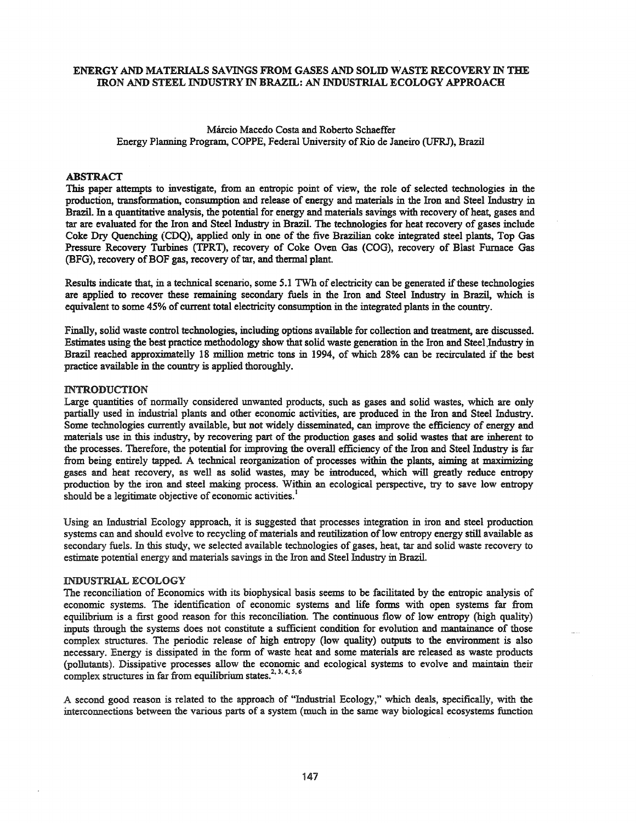# ENERGY AND MATERIALS SAVINGS FROM GASES AND SOLID WASTE RECOVERY IN THE IRON AND STEEL INDUSTRY IN BRAZll..: AN INDUSTRIAL ECOLOGY APPROACH

# Marcio Macedo Costa and Roberto Schaeffer Energy Planning Program, COPPE, Federal University of Rio de Janeiro (UFRJ), Brazil

### ABSTRACT

This paper attempts to investigate, from an entropic point of view, the role of selected technologies in the production, transformation, consumption and release of energy and materials in the Iron and Steel Industry in Brazil. In a quantitative analysis, the potential for energy and materials savings with recovery of heat, gases and tar are evaluated for the Iron and Steel Industry in Brazil. The technologies for heat recovery of gases include Coke Dry Quenching (CDQ), applied only in one of the five Brazilian coke integrated steel plants, Top Gas Pressure Recovery Turbines (TPRT), recovery of Coke Oven Gas (COG), recovery of Blast Furnace Gas (BFG), recovery of BOF gas, recovery of tar, and thermal plant.

Results indicate that, in a technical scenario, some 5.1 TWh of electricity can be generated ifthese technologies are applied to recover these remaining secondary fuels in the Iron and Steel Industry in Brazil, which is equivalent to some 45% of current total electricity consumption in the integrated plants in the country.

Finally, solid waste control technologies, including options available for collection and treatment, are discussed. Estimates using the best practice methodology show that solid waste generation in the Iron and Steel,Industry in Brazil reached approximatelly <sup>18</sup> million metric tons in 1994, of which 28% can be recirculated if the best practice available in the country is applied thoroughly.

### INTRODUCTION

Large quantities of normally considered unwanted products, such as gases and solid wastes, which are only partially used in industrial plants and other economic activities, are produced in the Iron and Steel Industry. Some technologies currently available, but not widely disseminated, can improve the efficiency of energy and materials use in this industry, by recovering part of the production gases and solid wastes that are inherent to the processes. Therefore, the potential for improving the overall efficiency ofthe Iron and Steel Industry is far from being entirely tapped. A technical reorganization of processes within the plants, aiming at maximizing gases and heat recovery, as well as solid wastes, may be introduced, which will greatly reduce entropy production by the iron and steel making process. Within an ecological perspective, try to save low entropy should be a legitimate objective of economic activities.<sup>1</sup>

Using an Industrial Ecology approach, it is suggested that processes integration in iron and steel production systems can and should evolve to recycling of materials and reutilization of low entropy energy still available as secondary fuels. In this study, we selected available technologies of gases, heat, tar and solid waste recovery to estimate potential energy and materials savings in the Iron and Steel Industry in Brazil.

# INDUSTRIAL ECOLOGY

The reconciliation of Economics with its biophysical basis seems to be facilitated by the entropic analysis of economic systems. The identification of economic systems and life forms with open systems far from equilibrium is a first good reason for this reconciliation. The continuous flow of low entropy (high quality) inputs through the systems does not constitute a sufficient condition for evolution and mantainance of those complex structures. The periodic release of high entropy (low quality) outputs to the environment is also necessary. Energy is dissipated in the form of waste heat and some materials are released as waste products (pollutants). Dissipative processes allow the economic and ecological systems to evolve and maintain their complex structures in far from equilibrium states.<sup>2, 3, 4,  $\overline{3}$ , 6</sup>

A second good reason is related to the approach of "Industrial Ecology," which deals, specifically, with the interconnections between the various parts of a system (much in the same way biological ecosystems function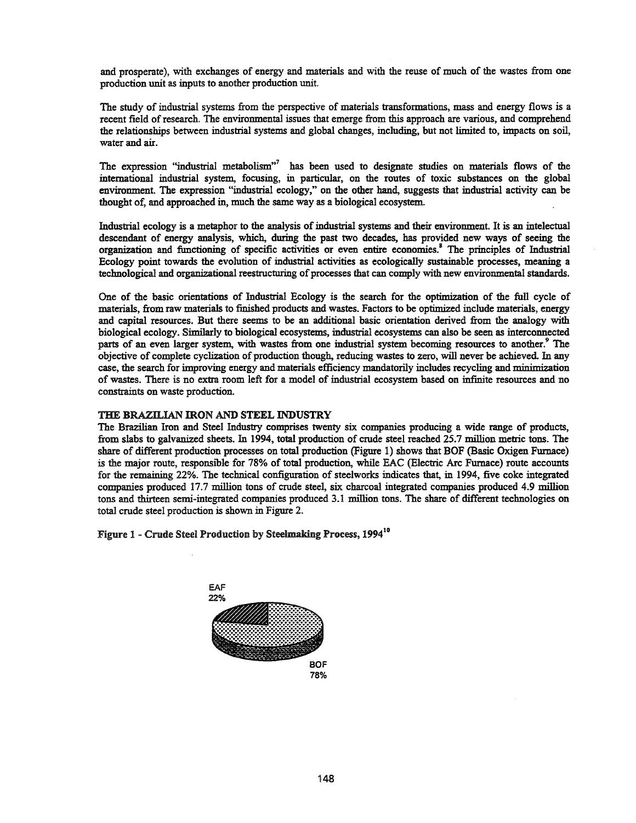and prosperate), with exchanges of energy and materials and with the reuse of much of the wastes from one production unit as inputs to another production unit.

The study of industrial systems from the perspective of materials transformations, mass and energy flows is a recent field ofresearch. The environmental issues that emerge from this approach are various, and comprehend the relationships between industrial systems and global changes, including, but not limited to, impacts on soil, water and air.

The expression "industrial metabolism" has been used to designate studies on materials flows of the international industrial system, focusing, in particular, on the routes of toxic substances on the global environment. The expression "industrial ecology," on the other hand, suggests that industrial activity can be thought of, and approached in, much the same way as a biological ecosystem.

Industrial ecology is a metaphor to the analysis of industrial systems and their environment. It is an intelectual descendant of energy analysis, which, during the past two decades, has provided new ways of seeing the organization and functioning of specific activities or even entire economies.<sup>8</sup> The principles of Industrial Ecology point towards the evolution of industrial activities as ecologically sustainable processes, meaning a technological and organizational reestructuring of processes that can comply with new environmental standards.

One of the basic orientations of Industrial Ecology is the search for the optimization of the full cycle of materials, from raw materials to finished products and wastes. Factors to be optimized include materials, energy and capital resources. But there seems to be an additional basic orientation derived from the analogy with biological ecology. Similarly to biological ecosystems, industrial ecosystems can also be seen as interconnected parts of an even larger system, with wastes from one industrial system becoming resources to another.<sup>9</sup> The objective of complete cyclization of production though, reducing wastes to zero, will never be achieved. In any case, the search for improving energy and materials efficiency mandatorily includes recycling and minimization of wastes. There is no extra room left for a model of industrial ecosystem based on infinite resources and no constraints on waste production.

# THE BRAZILIAN IRON AND STEEL INDUSTRY

The Brazilian Iron and Steel Industry comprises twenty six companies producing a wide range of products, from slabs to galvanized sheets. In 1994, total production of crude steel reached 25.7 million metric tons. The share of different production processes on total production (Figure 1) shows that BOF (Basic Oxigen Furnace) is the major route, responsible for 78% of total production, while EAC (Electric Arc Furnace) route accounts for the remaining 22%. The technical configuration of steelworks indicates that, in 1994, five coke integrated companies produced 17.7 million tons of crude steel, six charcoal integrated companies produced 4.9 million tons and thirteen semi-integrated companies produced 3.1 million tons. The share of different technologies on total crude steel production is shown in Figure 2.

# Figure 1 - Crude Steel Production by Steelmaking Process, 1994<sup>10</sup>

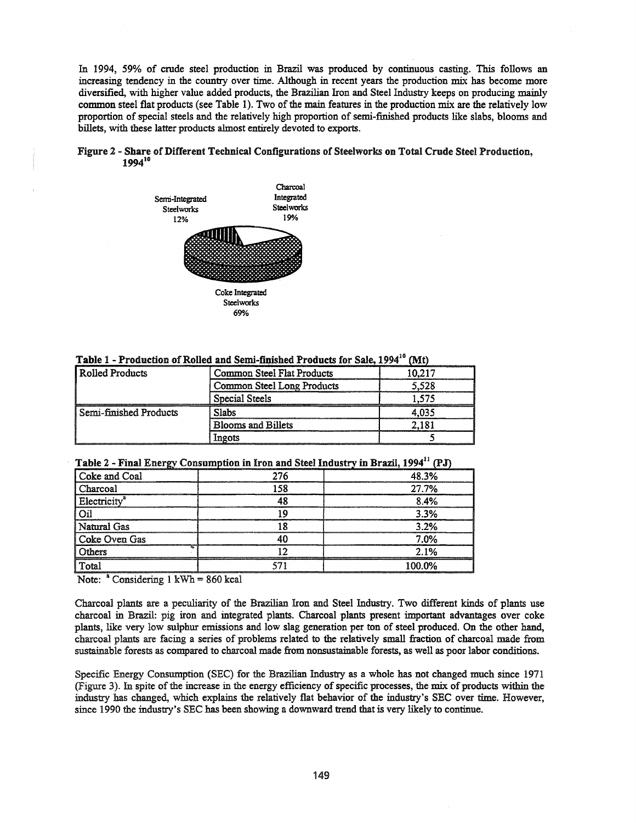In 1994, 59% of crude steel production in Brazil was produced by continuous casting. This follows an increasing tendency in the country over time. Although in recent years the production mix has become more diversified, with higher value added products, the Brazilian Iron and Steel Industry keeps on producing mainly common steel flat products (see Table 1). Two of the main features in the production mix are the relatively low proportion of special steels and the relatively high proportion of semi-finished products like slabs, blooms and billets, with these latter products almost entirely devoted to exports.

# Figure 2 - Share of Different Technical Configurations of Steelworks on Total Crude Steel Production, 1994<sup>10</sup>



| Table 1 - Production of Rolled and Semi-finished Products for Sale, 1994 <sup>10</sup> (Mt) |  |  |  |
|---------------------------------------------------------------------------------------------|--|--|--|
|                                                                                             |  |  |  |

| Rolled Products        | Common Steel Flat Products | 10.217 |
|------------------------|----------------------------|--------|
|                        | Common Steel Long Products | .528   |
|                        | Special Steels             |        |
| Semi-finished Products | Slabs                      |        |
|                        | <b>Blooms and Billets</b>  |        |
|                        | Ingots                     |        |

| سم                       |     |        |
|--------------------------|-----|--------|
| Coke and Coal            | 276 | 48.3%  |
| Charcoal                 | 58  | 27.7%  |
| Electricity <sup>a</sup> |     | ጸ 4%   |
|                          |     | 3.3%   |
| Natural Gas              |     | 3.2%   |
| Coke Oven Gas            |     | 7.0%   |
| Others                   |     | 2.1%   |
| Total                    |     | 100.0% |

Note: "Considering I kWh = 860 kcal

Charcoal plants are a peculiarity of the Brazilian Iron and Steel Industry. Two different kinds of plants use charcoal in Brazil: pig iron and integrated plants. Charcoal plants present important advantages over coke plants, like very low sulphur emissions and low slag generation per ton of steel produced. On the other hand, charcoal plants are facing a series of problems related to the relatively small fraction of charcoal made from sustainable forests as compared to charcoal made from nonsustainable forests, as well as poor labor conditions.

Specific Energy Consumption (SEC) for the Brazilian Industry as a whole has not changed much since 1971 (Figure 3). In spite of the increase in the energy efficiency of specific processes, the mix of products within the industry has changed, which explains the relatively flat behavior of the industry's SEC over time. However, since 1990 the industry's SEC has been showing a downward trend that is very likely to continue.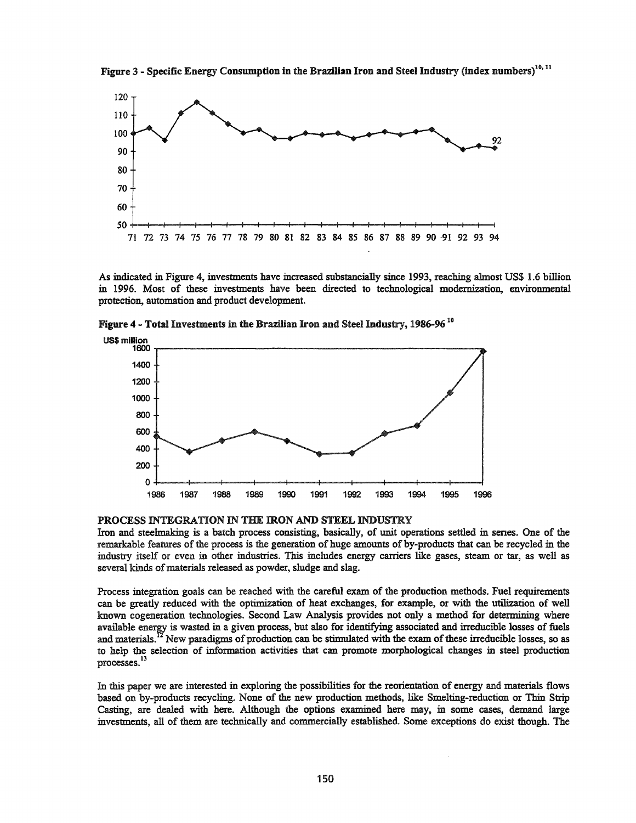Figure 3 - Specific Energy Consumption in the Brazilian Iron and Steel Industry (index numbers)<sup>10, 11</sup>



As indicated in Figure 4, investments have increased substancially since 1993, reaching almost US\$ 1.6 billion in 1996. Most of these investments have been directed to technological modernization, environmental protection, automation and product development.

Figure 4 - Total Investments in the Brazilian Iron and Steel Industry, 1986-96<sup>10</sup>



PROCESS INTEGRATION IN THE IRON AND STEEL INDUSTRY

Iron and steelmaking is a batch process consisting, basically, of unit operations settled in senes. One of the remarkable features of the process is the generation of huge amounts of by-products that can be recycled in the industry itself or even in other industries. This includes energy carriers like gases, steam or tar, as well as several kinds of materials released as powder, sludge and slag.

Process integration goals can be reached with the careful exam of the production methods. Fuel requirements can be greatly reduced with the optimization of heat exchanges, for example, or with the utilization of well known cogeneration technologies. Second Law Analysis provides not only a method for determining where available energy is wasted in a given process, but also for identifying associated and irreducible losses of fuels and materials.<sup>12</sup> New paradigms of production can be stimulated with the exam of these irreducible losses, so as to help the selection of information activities that can promote morphological changes in steel production processes. <sup>13</sup>

In this paper we are interested in exploring the possibilities for the reorientation of energy and materials flows based on by-products recycling. None of the new production methods, like Smelting-reduction or Thin Strip Casting, are dealed with here. Although the options examined here may, in some cases, demand large investments, all of them are technically and commercially established. Some exceptions do exist though. The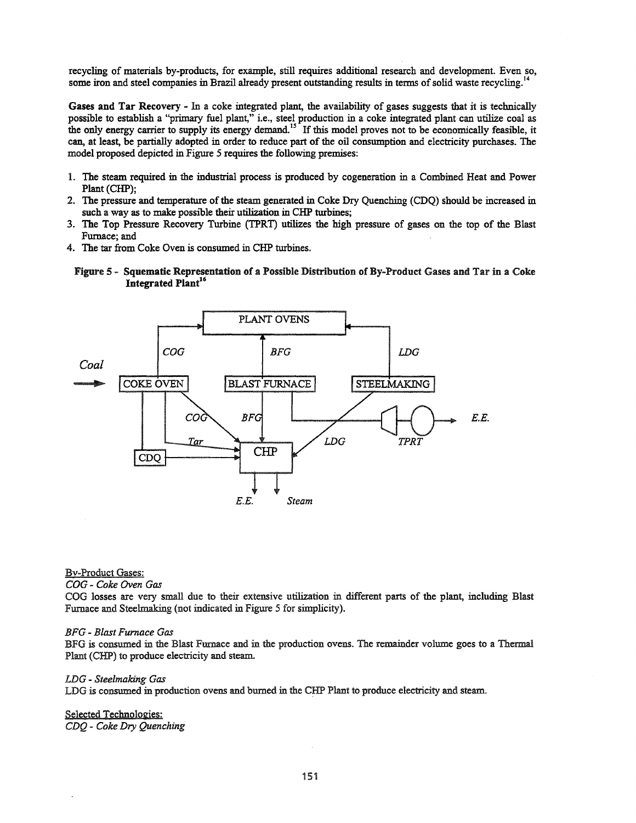recycling of materials by-products, for example, still requires additional research and development. Even so, some iron and steel companies in Brazil already present outstanding results in terms of solid waste recycling.<sup>1</sup>

Gases and Tar Recovery - In a coke integrated plant, the availability of gases suggests that it is technically possible to establish a "primary fuel plant," i.e., steel production in a coke integrated plant can utilize coal as the only energy carrier to supply its energy demand.<sup>15</sup> If this model proves not to be economically feasible, it can, at least, be partially adopted in order to reduce part of the oil consumption and electricity purchases. The model proposed depicted in Figure 5 requires the following premises:

- 1. The steam required in the industrial process is produced by cogeneration in a Combined Heat and Power Plant (CHP);
- 2. The pressure and temperature of the steam generated in Coke Dry Quenching (CDQ) should be increased in such a way as to make possible their utilization in CHP turbines;
- 3. The Top Pressure Recovery Turbine (TPRT) utilizes the high pressure of gases on the top of the Blast Furnace; and
- 4. The tar from Coke Oven is consumed in CHP turbines.





# By-Product Gases:

*COG* - *Coke Oven Gas*

COG losses are very small due to their extensive utilization in different parts of the plant, including Blast Furnace and Steelmaking (not indicated in Figure 5 for simplicity).

#### *BFG* - *Blast Furnace Gas*

BFG is consumed in the Blast Furnace and in the production ovens. The remainder volume goes to a Thermal Plant (CHP) to produce electricity and steam.

### *LDG* - *Steelmaking Gas*

LDG is consumed in production ovens and burned in the CHP Plant to produce electricity and steam.

Selected Technologies: *CDQ* - *Coke Dry Quenching*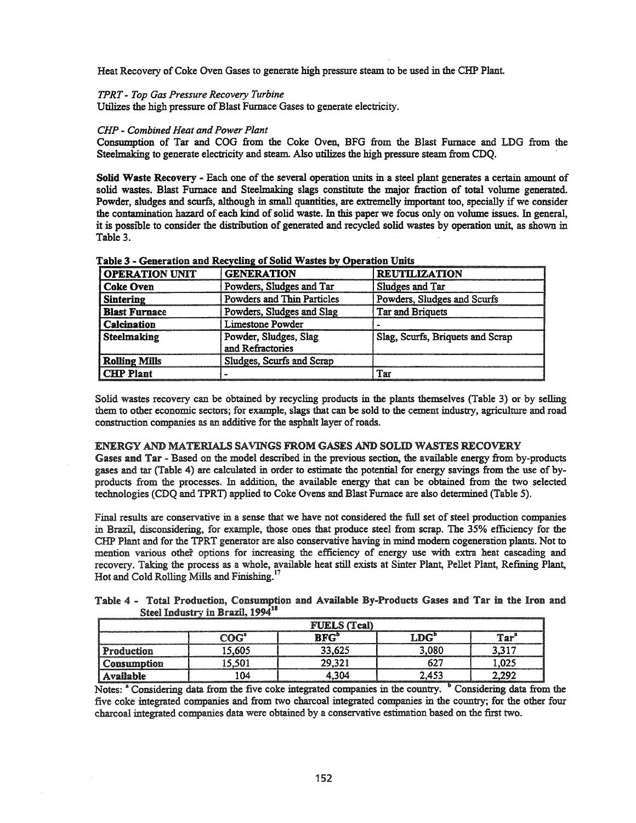Heat Recovery of Coke Oven Gases to generate high pressure steam to be used in the CHP Plant.

### *TPRT* - *Top Gas Pressure Recovery Turbine*

Utilizes the high pressure of Blast Furnace Gases to generate electricity.

### *CHP* - *Combined Heat and Power Plant*

Consumption of Tar and COG from the Coke Oven, BFG from the Blast Furnace and LDG from the Steelmaking to generate electricity and steam. Also utilizes the high pressure steam from CDQ.

Solid Waste Recovery - Each one of the several operation units in a steel plant generates a certain amount of solid wastes. Blast Furnace and Steelmaking slags constitute the major fraction of total volume generated. Powder, sludges and scurfs, although in small quantities, are extremelly important too, specially if we consider the contamination hazard of each kind of solid waste. In this paper we focus only on volume issues. In general, it is possible to consider the distribution of generated and recycled solid wastes by operation unit, as shown in Table 3.

| <b>OPERATION UNIT</b> | <b>GENERATION</b>                         | <b>REUTILIZATION</b>             |
|-----------------------|-------------------------------------------|----------------------------------|
| <b>Coke Oven</b>      | Powders, Sludges and Tar                  | Sludges and Tar                  |
| <b>Sintering</b>      | Powders and Thin Particles                | Powders, Sludges and Scurfs      |
| <b>Blast Furnace</b>  | Powders, Sludges and Slag                 | Tar and Briquets                 |
| Calcination           | Limestone Powder                          |                                  |
| Steelmaking           | Powder, Sludges, Slag<br>and Refractories | Slag, Scurfs, Briquets and Scrap |
| <b>Rolling Mills</b>  | Sludges, Scurfs and Scrap                 |                                  |
| <b>CHP Plant</b>      |                                           | Tar                              |

Table 3 - Generation and Recycling of Solid Wastes by Operation Units

Solid wastes recovery can be obtained by recycling products in the plants themselves (Table 3) or by selling them to other economic sectors; for example, slags that can be sold to the cement industry, agriculture and road construction companies as an additive for the asphalt layer of roads.

### ENERGY AND MATERIALS SAVINGS FROM GASES AND SOLID WASTES RECOVERY

Gases and Tar - Based on the model described in the previous section, the available energy from by-products gases and tar (Table 4) are calculated in order to estimate the potential for energy savings from the use of byproducts from the processes. In addition, the available energy that can be obtained from the two selected technologies (CDQ and TPRT) applied to Coke Ovens and Blast Furnace are also determined (Table 5).

Final results are conservative in a sense that we have not considered the full set of steel production companies in Brazil, disconsidering, for example, those ones that produce steel from scrap. The 35% efficiency for the CHP Plant and for the TPRT generator are also conservative having in mind modem cogeneration plants. Not to mention various other options for increasing the efficiency of energy use with extra heat cascading and recovery. Taking the process as a whole, available heat still exists at Sinter Plant, Pellet Plant, Refining Plant, Hot and Cold Rolling Mills and Finishing.<sup>17</sup>

| Table 4 - Total Production, Consumption and Available By-Products Gases and Tar in the Iron and |                                              |  |  |  |  |
|-------------------------------------------------------------------------------------------------|----------------------------------------------|--|--|--|--|
|                                                                                                 | Steel Industry in Brazil, 1994 <sup>18</sup> |  |  |  |  |

|             |          | <b>FUELS</b> (Teal)     |     |     |
|-------------|----------|-------------------------|-----|-----|
|             | ിറി      | $D_{\rm I}$ $D_{\rm I}$ | ™.  | ገል። |
| Production  | 5.605    | 33.625                  | ባጸር |     |
| Consumption |          | 29.321                  |     |     |
| Available   | $\Omega$ | ٦М                      | 453 |     |

Notes: <sup>a</sup> Considering data from the five coke integrated companies in the country. <sup>b</sup> Considering data from the five coke integrated companies and from two charcoal integrated companies in the country; for the other four charcoal integrated companies data were obtained by a conservative estimation based on the first two.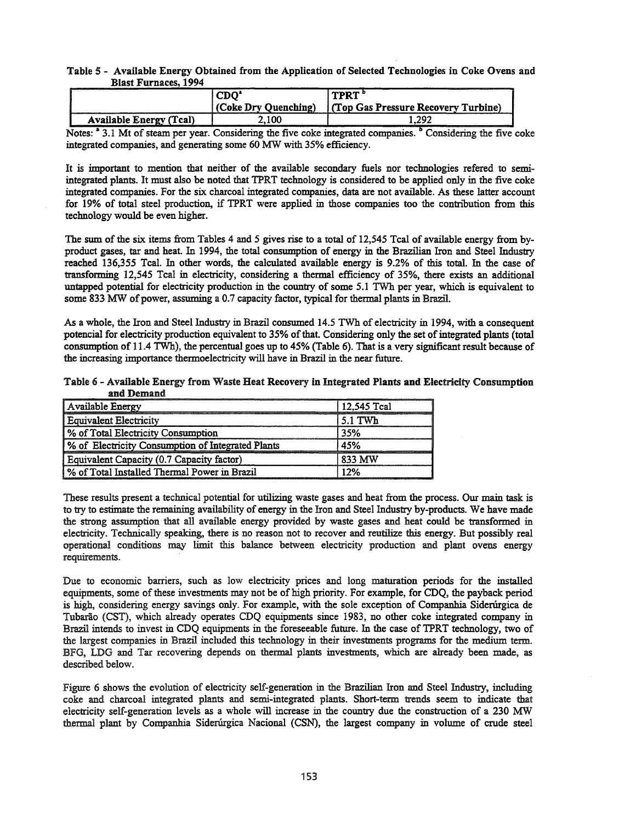## Table 5 - Available Energy Obtained from the Application of Selected Technologies in Coke Ovens and Blast Furnaces, 1994

| -----------                             | CDO'<br>(Coke Dry Quenching) | TPRT "<br>(Top Gas Pressure Recovery Turbine) |
|-----------------------------------------|------------------------------|-----------------------------------------------|
| <b>Available Energy (Tcal)</b><br>----- | 2.100                        | 1.292                                         |

Notes: <sup>a</sup> 3.1 Mt of steam per year. Considering the five coke integrated companies. <sup>b</sup> Considering the five coke integrated companies, and generating some 60 MW with 35% efficiency.

It is important to mention that neither of the available secondary fuels nor technologies refered to semiintegrated plants. It must also be noted that TPRT technology is considered to be applied only in the five coke integrated companies. For the six charcoal integrated companies, data are not available. As these latter account for 19% of total steel production, if TPRT were applied in those companies too the contribution from this technology would be even higher.

The sum of the six items from Tables 4 and 5 gives rise to a total of 12,545 Teal of available energy from byproduct gases, tar and heat. In 1994, the total consumption of energy in the Brazilian Iron and Steel Industry reached 136,355 Teal. In other words, the calculated available energy is 9.2% of this total. In the case of transforming 12,545 Teal in electricity, considering a thermal efficiency of 35%, there exists an additional untapped potential for electricity production in the country of some 5.1 TWh per year, which is equivalent to some 833 MW of power, assuming a 0.7 capacity factor, typical for thermal plants in Brazil.

As a whole, the Iron and Steel Industry in Brazil consumed 14.5 TWh of electricity in 1994, with a consequent potencial for electricity production equivalent to 35% of that. Considering only the set of integrated plants (total consumption of 11.4 TWh), the percentual goes up to 45% (Table 6). That is a very significant result because of the increasing importance thermoelectricity will have in Brazil in the near future.

| Table 6 - Available Energy from Waste Heat Recovery in Integrated Plants and Electricity Consumption |  |  |  |
|------------------------------------------------------------------------------------------------------|--|--|--|
| and Demand                                                                                           |  |  |  |

| Available Energy                                  | 12.545 Tcal |
|---------------------------------------------------|-------------|
| <b>Equivalent Electricity</b>                     | $5.1$ TWh   |
| % of Total Electricity Consumption                | 35%         |
| % of Electricity Consumption of Integrated Plants | 45%         |
| Equivalent Capacity (0.7 Capacity factor)         | 833 MW      |
| % of Total Installed Thermal Power in Brazil      | 12%         |

These results present a technical potential for utilizing waste gases and heat from the process. Our main task is to try to estimate the remaining availability of energy in the Iron and Steel Industry by-products. We have made the strong assumption that all available energy provided by waste gases and heat could be transformed in electricity. Technically speaking, there is no reason not to recover and reutilize this energy. But possibly real operational conditions may limit this balance between electricity production and plant ovens energy requirements.

Due to economic barriers, such as low electricity prices and long maturation periods for the installed equipments, some of these investments may not be of high priority. For example, for CDQ, the payback period is high, considering energy savings only. For example, with the sole exception of Companhia Sidenirgica de Tubarão (CST), which already operates CDQ equipments since 1983, no other coke integrated company in Brazil intends to invest in CDQ equipments in the foreseeable future. In the case of TPRT technology, two of the largest companies in Brazil included this technology in their investments programs for the medium term. BFG, LDG and Tar recovering depends on thermal plants investments, which are already been made, as described below.

Figure 6 shows the evolution of electricity self-generation in the Brazilian Iron and Steel Industry, including coke and charcoal integrated plants and semi-integrated plants. Short-term trends seem to indicate that electricity self-generation levels as a whole will increase in the country due the construction of a 230 MW thermal plant by Companhia Sidenirgica Nacional (CSN), the largest company in volume of crude steel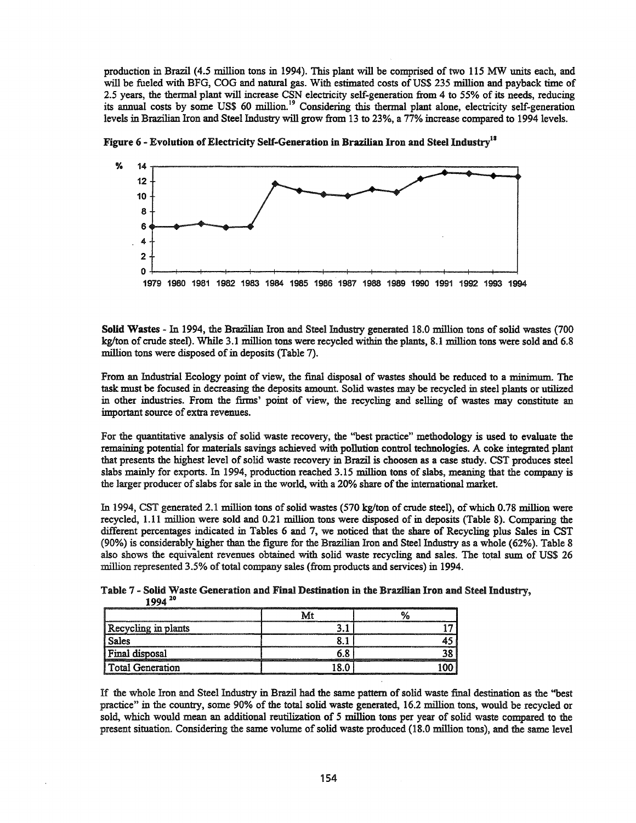production in Brazil (4.5 million tons in 1994). This plant will be comprised of two 115 MW units each, and will be fueled with BFG, COG and natural gas. With estimated costs of US\$ 235 million and payback time of 2.5 years, the thermal plant will increase CSN electricity self-generation from 4 to 55% of its needs, reducing its annual costs by some US\$ 60 million.<sup>19</sup> Considering this thermal plant alone, electricity self-generation levels in Brazilian Iron and Steel Industry will grow from 13 to 23%, a 77% increase compared to 1994 levels.



Figure 6 - Evolution of Electricity Self-Generation in Brazilian Iron and Steel Industry<sup>18</sup>

Solid Wastes - In 1994, the Brazilian Iron and Steel Industry generated 18.0 million tons of solid wastes (700 kg/ton of crude steel). While 3.1 million tons were recycled within the plants, 8.1 million tons were sold and 6.8 million tons were disposed of in deposits (Table 7).

From an Industrial Ecology point of view, the final disposal of wastes should be reduced to a minimum. The task must be focused in decreasing the deposits amount. Solid wastes may be recycled in steel plants or utilized in other industries. From the firms' point of view, the recycling and selling of wastes may constitute an important source of extra revenues.

For the quantitative analysis of solid waste recovery, the "best practice" methodology is used to evaluate the remaining potential for materials savings achieved with pollution control technologies. A coke integrated plant that presents the highest level of solid waste recovery in Brazil is choosen as a case study. CST produces steel slabs mainly for exports. In 1994, production reached 3.15 million tons of slabs, meaning that the company is the larger producer of slabs for sale in the world, with a 20% share of the international market.

In 1994, CST generated 2.1 million tons of solid wastes (570 kg/ton of crude steel), of which 0.78 million were recycled, 1.11 million were sold and 0.21 million tons were disposed of in deposits (Table 8). Comparing the different percentages indicated in Tables 6 and 7, we noticed that the share of Recycling plus Sales in CST (90%) is considerably higher than the figure for the Brazilian Iron and Steel Industry as a whole (62%). Table 8 also shows the equivalent revenues obtained with solid waste recycling and sales. The total sum of US\$ 26 million represented 3.5% of total company sales (from products and services) in 1994.

Table 7· Solid Waste Generation and Final Destination in the Brazilian Iron and Steel Industry, 1994 <sup>20</sup>

| Recycling in plants |  |
|---------------------|--|
| Sales               |  |
| Final disposal      |  |
| l Total Generation  |  |

If the whole Iron and Steel Industry in Brazil had the same pattern ofsolid waste final destination as the ''best practice" in the country, some 90% of the total solid waste generated, 16.2 million tons, would be recycled or sold, which would mean an additional reutilization of 5 million tons per year of solid waste compared to the present situation. Considering the same volume of solid waste produced (18.0 million tons), and the same level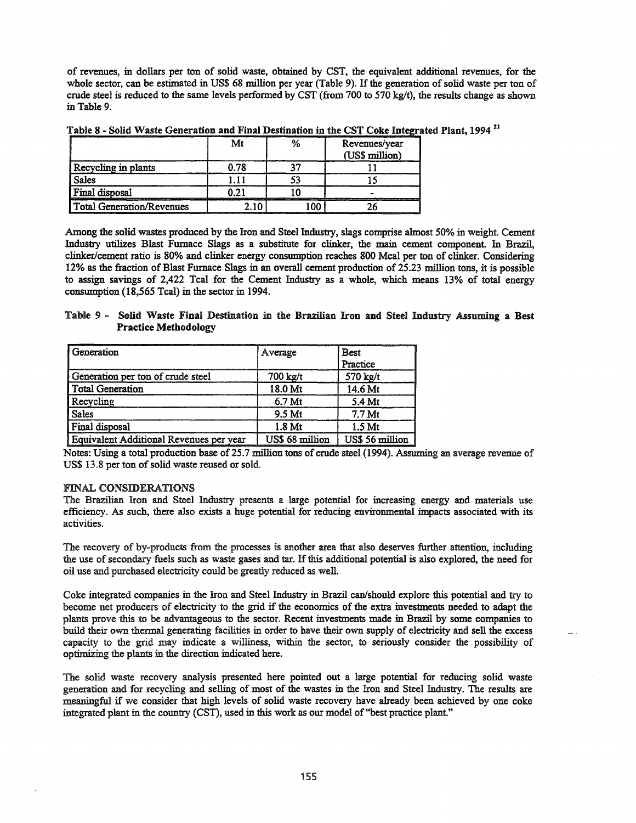of revenues, in dollars per ton of solid waste, obtained by CST, the equivalent additional revenues, for the whole sector, can be estimated in US\$ 68 million per year (Table 9). If the generation of solid waste per ton of crude steel is reduced to the same levels performed by CST (from 700 to 570 kg/t), the results change as shown in Table 9.

|                                  | Mt   | Revenues/year<br>(US\$ million) |
|----------------------------------|------|---------------------------------|
| Recycling in plants              | , 78 |                                 |
| <b>Sales</b>                     |      |                                 |
| Final disposal                   | በ ን1 |                                 |
| <b>Total Generation/Revenues</b> |      |                                 |

Table 8 - Solid Waste Generation and Final Destination in the CST Coke Integrated Plant, 1994<sup>21</sup>

Among the solid wastes produced by the Iron and Steel Industry, slags comprise almost 50% in weight. Cement Industry utilizes Blast Furnace Slags as a substitute for clinker, the main cement component. In Brazil, clinker/cement ratio is 80% and clinker energy consumption reaches 800 Mcal per ton of clinker. Considering 12% as the fraction ofBlast Furnace Slags in an overall cement production of 25.23 million tons, it is possible to assign savings of 2,422 Tcal for the Cement Industry as a whole, which means 13% of total energy consumption (18,565 Tcal) in the sector in 1994.

Table 9 - Solid Waste Final Destination in the Brazilian Iron and Steel Industry Assuming a Best Practice Methodology

| Generation                              | Average           | <b>Best</b><br>Practice |
|-----------------------------------------|-------------------|-------------------------|
| Generation per ton of crude steel       | 700 kg/t          | 570 kg/t                |
| <b>Total Generation</b>                 | 18.0 Mt           | 14.6 Mt                 |
| Recycling                               | 6.7 <sub>Mt</sub> | 5.4 Mt                  |
| <b>Sales</b>                            | 9.5 Mt            | 7.7 Mt                  |
| Final disposal                          | 1.8 Mt            | 1.5 <sub>Mt</sub>       |
| Equivalent Additional Revenues per year | US\$ 68 million   | US\$ 56 million         |

Notes: Using a total production base of 25.7 million tons of crude steel (1994). Assuming an average revenue of US\$ 13.8 per ton of solid waste reused or sold.

# FINAL CONSIDERATIONS

The Brazilian Iron and Steel Industry presents a large potential for increasing energy and materials use efficiency. As such, there also exists a huge potential for reducing environmental impacts associated with its activities.

The recovery of by-products from the processes is another area that also deserves further attention, including the use of secondary fuels such as waste gases and tar. If this additional potential is also explored, the need for oil use and purchased electricity could be greatly reduced as well.

Coke integrated companies in the Iron and Steel Industry in Brazil can/should explore this potential and try to become net producers of electricity to the grid if the economics of the extra investments needed to adapt the plants prove this to be advantageous to the sector. Recent investments made in Brazil by some companies to build their own thermal generating facilities in order to have their own supply of electricity and sell the excess capacity to the grid may indicate a williness, within the sector, to seriously consider the possibility of optimizing the plants in the direction indicated here.

The solid waste recovery analysis presented here pointed out a large potential for reducing solid waste generation and for recycling and selling of most of the wastes in the Iron and Steel Industry. The results are meaningful if we consider that high levels of solid waste recovery have already been achieved by one coke integrated plant in the country (CST), used in this work as our model of "best practice plant."